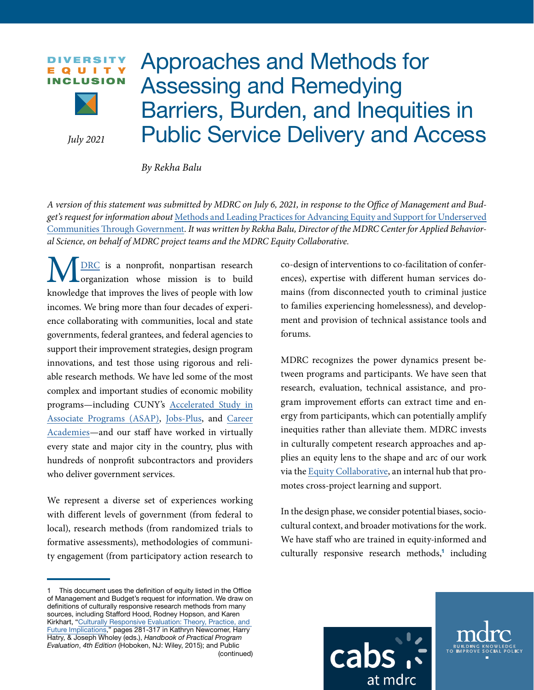#### DIVERSITY EQUITY INCLUSION



*July 2021*

# Approaches and Methods for Assessing and Remedying Barriers, Burden, and Inequities in Public Service Delivery and Access

*By Rekha Balu*

*A version of this statement was submitted by MDRC on July 6, 2021, in response to the Office of Management and Budget's request for information about* [Methods and Leading Practices for Advancing Equity and Support for Underserved](https://www.federalregister.gov/documents/2021/05/05/2021-09109/methods-and-leading-practices-for-advancing-equity-and-support-for-underserved-communities-through)  [Communities Through Government](https://www.federalregister.gov/documents/2021/05/05/2021-09109/methods-and-leading-practices-for-advancing-equity-and-support-for-underserved-communities-through)*. It was written by Rekha Balu, Director of the MDRC Center for Applied Behavioral Science, on behalf of MDRC project teams and the MDRC Equity Collaborative.*

[MDRC](http://www.mdrc.org) is a nonprofit, nonpartisan research<br>organization whose mission is to build<br>have that immerses the lines of nearly with law organization whose mission is to build knowledge that improves the lives of people with low incomes. We bring more than four decades of experience collaborating with communities, local and state governments, federal grantees, and federal agencies to support their improvement strategies, design program innovations, and test those using rigorous and reliable research methods. We have led some of the most complex and important studies of economic mobility programs—including CUNY's [Accelerated Study in](https://www.mdrc.org/publication/cuny-asap-doubles-graduation-rates-new-york-city-and-ohio)  [Associate Programs \(ASAP\)](https://www.mdrc.org/publication/cuny-asap-doubles-graduation-rates-new-york-city-and-ohio), [Jobs-Plus](https://www.mdrc.org/publication/sustained-earnings-gains-residents-public-housing-jobs-program), and [Career](https://www.mdrc.org/project/career-academies-exploring-college-and-career-options-ecco#overview) [Academies—](https://www.mdrc.org/project/career-academies-exploring-college-and-career-options-ecco#overview)and our staff have worked in virtually every state and major city in the country, plus with hundreds of nonprofit subcontractors and providers who deliver government services.

We represent a diverse set of experiences working with different levels of government (from federal to local), research methods (from randomized trials to formative assessments), methodologies of community engagement (from participatory action research to co-design of interventions to co-facilitation of conferences), expertise with different human services domains (from disconnected youth to criminal justice to families experiencing homelessness), and development and provision of technical assistance tools and forums.

MDRC recognizes the power dynamics present between programs and participants. We have seen that research, evaluation, technical assistance, and program improvement efforts can extract time and energy from participants, which can potentially amplify inequities rather than alleviate them. MDRC invests in culturally competent research approaches and applies an equity lens to the shape and arc of our work via the [Equity Collaborative,](https://www.mdrc.org/pub/equity-resources) an internal hub that promotes cross-project learning and support.

In the design phase, we consider potential biases, sociocultural context, and broader motivations for the work. We have staff who are trained in equity-informed and culturally responsive research methods,<sup>1</sup> including





This document uses the definition of equity listed in the Office of Management and Budget's request for information. We draw on definitions of culturally responsive research methods from many sources, including Stafford Hood, Rodney Hopson, and Karen Kirkhart, "[Culturally Responsive Evaluation: Theory, Practice, and](https://nasaa-arts.org/wp-content/uploads/2017/11/CRE-Reading-1-Culturally-Responsive-Evaluation.pdf)  [Future Implications](https://nasaa-arts.org/wp-content/uploads/2017/11/CRE-Reading-1-Culturally-Responsive-Evaluation.pdf)," pages 281-317 in Kathryn Newcomer, Harry Hatry, & Joseph Wholey (eds.), *Handbook of Practical Program Evaluation*, *4th Edition* (Hoboken, NJ: Wiley, 2015); and Public (continued)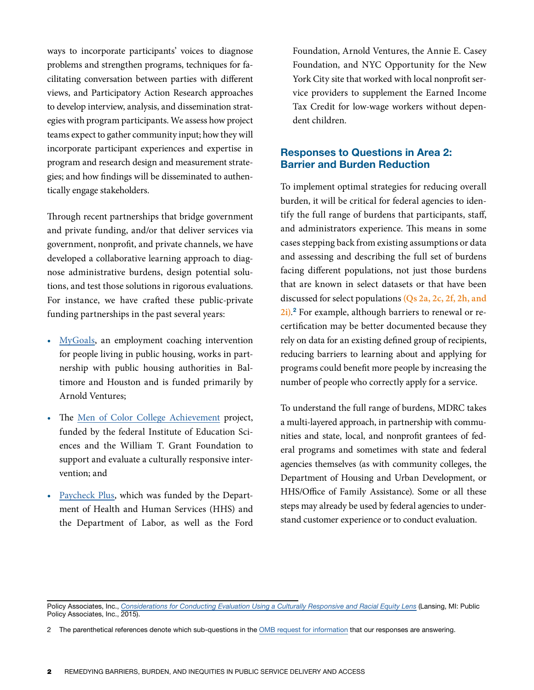ways to incorporate participants' voices to diagnose problems and strengthen programs, techniques for facilitating conversation between parties with different views, and Participatory Action Research approaches to develop interview, analysis, and dissemination strategies with program participants. We assess how project teams expect to gather community input; how they will incorporate participant experiences and expertise in program and research design and measurement strategies; and how findings will be disseminated to authentically engage stakeholders.

Through recent partnerships that bridge government and private funding, and/or that deliver services via government, nonprofit, and private channels, we have developed a collaborative learning approach to diagnose administrative burdens, design potential solutions, and test those solutions in rigorous evaluations. For instance, we have crafted these public-private funding partnerships in the past several years:

- [MyGoals,](https://www.mdrc.org/project/mygoals-employment-success#overview) an employment coaching intervention for people living in public housing, works in partnership with public housing authorities in Baltimore and Houston and is funded primarily by Arnold Ventures;
- The [Men of Color College Achievement](https://ies.ed.gov/funding/grantsearch/details.asp?ID=1762) project, funded by the federal Institute of Education Sciences and the William T. Grant Foundation to support and evaluate a culturally responsive intervention; and
- [Paycheck Plus](https://www.mdrc.org/project/paycheck-plus-expanded-earned-income-tax-credit-single-adults#overview), which was funded by the Department of Health and Human Services (HHS) and the Department of Labor, as well as the Ford

Foundation, Arnold Ventures, the Annie E. Casey Foundation, and NYC Opportunity for the New York City site that worked with local nonprofit service providers to supplement the Earned Income Tax Credit for low-wage workers without dependent children.

#### Responses to Questions in Area 2: Barrier and Burden Reduction

To implement optimal strategies for reducing overall burden, it will be critical for federal agencies to identify the full range of burdens that participants, staff, and administrators experience. This means in some cases stepping back from existing assumptions or data and assessing and describing the full set of burdens facing different populations, not just those burdens that are known in select datasets or that have been discussed for select populations **(Qs 2a, 2c, 2f, 2h, and 2i)**. 2 For example, although barriers to renewal or recertification may be better documented because they rely on data for an existing defined group of recipients, reducing barriers to learning about and applying for programs could benefit more people by increasing the number of people who correctly apply for a service.

To understand the full range of burdens, MDRC takes a multi-layered approach, in partnership with communities and state, local, and nonprofit grantees of federal programs and sometimes with state and federal agencies themselves (as with community colleges, the Department of Housing and Urban Development, or HHS/Office of Family Assistance). Some or all these steps may already be used by federal agencies to understand customer experience or to conduct evaluation.

Policy Associates, Inc., *[Considerations for Conducting Evaluation Using a Culturally Responsive and Racial Equity Lens](https://publicpolicy.com/wp-content/uploads/2017/04/PPA-Culturally-Responsive-Lens.pdf)* (Lansing, MI: Public Policy Associates, Inc., 2015).

<sup>2</sup> The parenthetical references denote which sub-questions in the [OMB request for information](https://www.federalregister.gov/documents/2021/05/05/2021-09109/methods-and-leading-practices-for-advancing-equity-and-support-for-underserved-communities-through) that our responses are answering.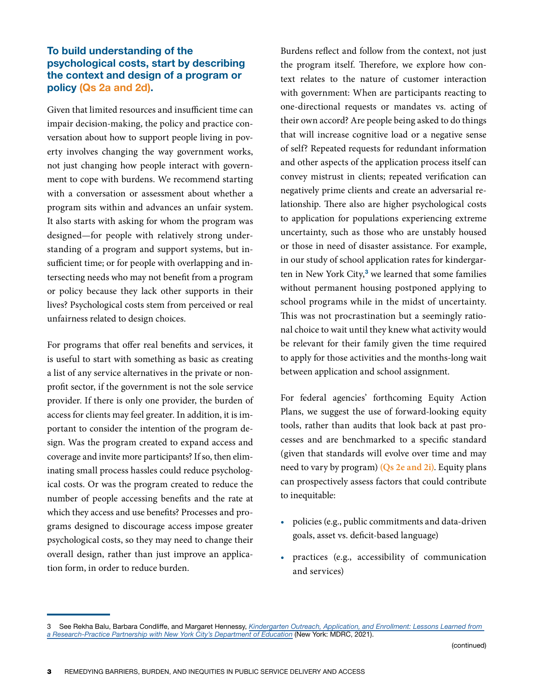#### To build understanding of the psychological costs, start by describing the context and design of a program or policy (Qs 2a and 2d).

Given that limited resources and insufficient time can impair decision-making, the policy and practice conversation about how to support people living in poverty involves changing the way government works, not just changing how people interact with government to cope with burdens. We recommend starting with a conversation or assessment about whether a program sits within and advances an unfair system. It also starts with asking for whom the program was designed—for people with relatively strong understanding of a program and support systems, but insufficient time; or for people with overlapping and intersecting needs who may not benefit from a program or policy because they lack other supports in their lives? Psychological costs stem from perceived or real unfairness related to design choices.

For programs that offer real benefits and services, it is useful to start with something as basic as creating a list of any service alternatives in the private or nonprofit sector, if the government is not the sole service provider. If there is only one provider, the burden of access for clients may feel greater. In addition, it is important to consider the intention of the program design. Was the program created to expand access and coverage and invite more participants? If so, then eliminating small process hassles could reduce psychological costs. Or was the program created to reduce the number of people accessing benefits and the rate at which they access and use benefits? Processes and programs designed to discourage access impose greater psychological costs, so they may need to change their overall design, rather than just improve an application form, in order to reduce burden.

Burdens reflect and follow from the context, not just the program itself. Therefore, we explore how context relates to the nature of customer interaction with government: When are participants reacting to one-directional requests or mandates vs. acting of their own accord? Are people being asked to do things that will increase cognitive load or a negative sense of self? Repeated requests for redundant information and other aspects of the application process itself can convey mistrust in clients; repeated verification can negatively prime clients and create an adversarial relationship. There also are higher psychological costs to application for populations experiencing extreme uncertainty, such as those who are unstably housed or those in need of disaster assistance. For example, in our study of school application rates for kindergarten in New York City,<sup>3</sup> we learned that some families without permanent housing postponed applying to school programs while in the midst of uncertainty. This was not procrastination but a seemingly rational choice to wait until they knew what activity would be relevant for their family given the time required to apply for those activities and the months-long wait between application and school assignment.

For federal agencies' forthcoming Equity Action Plans, we suggest the use of forward-looking equity tools, rather than audits that look back at past processes and are benchmarked to a specific standard (given that standards will evolve over time and may need to vary by program) **(Qs 2e and 2i)**. Equity plans can prospectively assess factors that could contribute to inequitable:

- policies (e.g., public commitments and data-driven goals, asset vs. deficit-based language)
- practices (e.g., accessibility of communication and services)

<sup>3</sup> See Rekha Balu, Barbara Condliffe, and Margaret Hennessy, *[Kindergarten Outreach, Application, and Enrollment](https://www.mdrc.org/publication/kindergarten-outreach-application-and-enrollment): Lessons Learned from a Research-Practice Partnership with New York City's Department of Education* (New York: MDRC, 2021).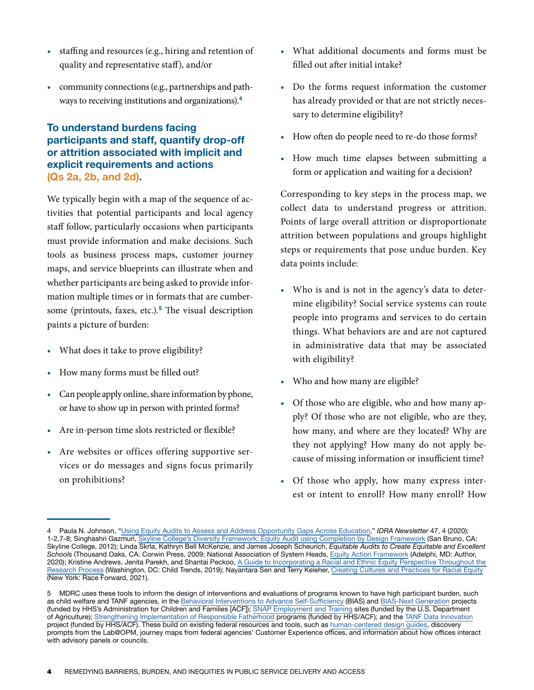- staffing and resources (e.g., hiring and retention of quality and representative staff), and/or
- community connections (e.g., partnerships and pathways to receiving institutions and organizations).<sup>4</sup>

## To understand burdens facing participants and staff, quantify drop-off or attrition associated with implicit and explicit requirements and actions (Qs 2a, 2b, and 2d).

We typically begin with a map of the sequence of activities that potential participants and local agency staff follow, particularly occasions when participants must provide information and make decisions. Such tools as business process maps, customer journey maps, and service blueprints can illustrate when and whether participants are being asked to provide information multiple times or in formats that are cumbersome (printouts, faxes, etc.).<sup>5</sup> The visual description paints a picture of burden:

- What does it take to prove eligibility?
- How many forms must be filled out?
- Can people apply online, share information by phone, or have to show up in person with printed forms?
- Are in-person time slots restricted or flexible?
- Are websites or offices offering supportive services or do messages and signs focus primarily on prohibitions?
- What additional documents and forms must be filled out after initial intake?
- Do the forms request information the customer has already provided or that are not strictly necessary to determine eligibility?
- How often do people need to re-do those forms?
- How much time elapses between submitting a form or application and waiting for a decision?

Corresponding to key steps in the process map, we collect data to understand progress or attrition. Points of large overall attrition or disproportionate attrition between populations and groups highlight steps or requirements that pose undue burden. Key data points include:

- Who is and is not in the agency's data to determine eligibility? Social service systems can route people into programs and services to do certain things. What behaviors are and are not captured in administrative data that may be associated with eligibility?
- Who and how many are eligible?
- Of those who are eligible, who and how many apply? Of those who are not eligible, who are they, how many, and where are they located? Why are they not applying? How many do not apply because of missing information or insufficient time?
- Of those who apply, how many express interest or intent to enroll? How many enroll? How

Paula N. Johnson, "[Using Equity Audits to Assess and Address Opportunity Gaps Across Education,](https://www.idra.org/resource-center/using-equity-audits-to-assess-and-address-opportunity-gaps-across-education/)" *IDRA Newsletter* 47, 4 (2020): 1-2,7-8; Singhashri Gazmuri, [Skyline College's Diversity Framework: Equity Audit using Completion by Design Framework](https://skylinecollege.edu/seeed/assets/diversity_framework/Skyline_Diversity_Framework_Draft.pdf) (San Bruno, CA: Skyline College, 2012); Linda Skrla, Kathryn Bell McKenzie, and James Joseph Scheurich, *Equitable Audits to Create Equitable and Excellent Schools* (Thousand Oaks, CA: Corwin Press, 2009; National Association of System Heads, [Equity Action Framework](http://nashonline.org/wp-content/uploads/2021/04/NASH-Equity-Action-Framework-Summary.pdf) (Adelphi, MD: Author, 2020); Kristine Andrews, Jenita Parekh, and Shantai Peckoo, A Guide to Incorporating a Racial and Ethnic Equity Perspective Throughout the [Research Process](https://www.childtrends.org/publications/a-guide-to-incorporating-a-racial-and-ethnic-equity-perspective-throughout-the-research-process) (Washington, DC: Child Trends, 2019); Nayantara Sen and Terry Keleher, [Creating Cultures and Practices for Racial Equity](https://www.raceforward.org/practice/tools/creating-cultures-and-practices-racial-equity) (New York: Race Forward, 2021).

<sup>5</sup> MDRC uses these tools to inform the design of interventions and evaluations of programs known to have high participant burden, such as child welfare and TANF agencies, in the [Behavioral Interventions to Advance Self-Sufficiency](https://www.mdrc.org/project/behavioral-interventions-advance-self-sufficiency-project#overview) (BIAS) and [BIAS-Next Generation](https://www.acf.hhs.gov/opre/project/behavioral-interventions-advance-self-sufficiency-bias-next-generation-2015-2025) projects (funded by HHS's Administration for Children and Families [ACF]); [SNAP Employment and Training](https://www.mdrc.org/project/snap-employment-and-training-evaluation#overview) sites (funded by the U.S. Department of Agriculture); [Strengthening Implementation of Responsible Fatherhood](https://www.mdrc.org/project/strengthening-implementation-responsible-fatherhood-programs-sirf#overview) programs (funded by HHS/ACF); and the [TANF Data Innovation](https://www.mdrc.org/project/tanf-data-innovation#overview) project (funded by HHS/ACF). These build on existing federal resources and tools, such as [human-centered design guides,](https://www.performance.gov/cx/assets/files/Human_Centered_Design_Discovery_Stage_Field_Guide.pdf) discovery prompts from the Lab@OPM, journey maps from federal agencies' Customer Experience offices, and information about how offices interact with advisory panels or councils.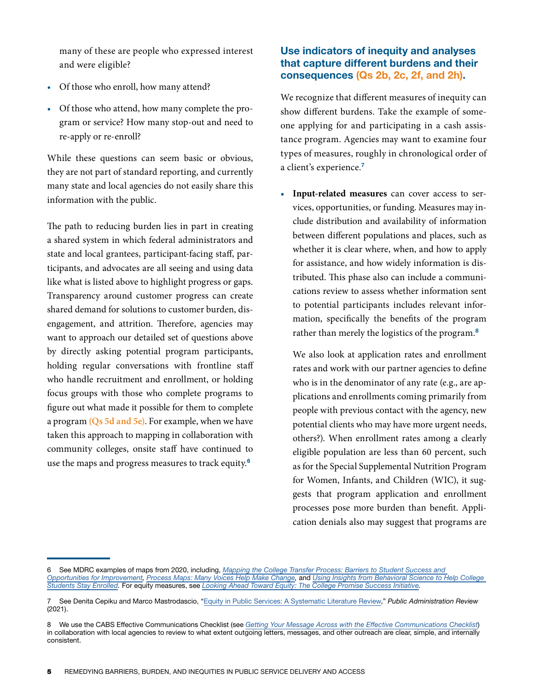many of these are people who expressed interest and were eligible?

- Of those who enroll, how many attend?
- Of those who attend, how many complete the program or service? How many stop-out and need to re-apply or re-enroll?

While these questions can seem basic or obvious, they are not part of standard reporting, and currently many state and local agencies do not easily share this information with the public.

The path to reducing burden lies in part in creating a shared system in which federal administrators and state and local grantees, participant-facing staff, participants, and advocates are all seeing and using data like what is listed above to highlight progress or gaps. Transparency around customer progress can create shared demand for solutions to customer burden, disengagement, and attrition. Therefore, agencies may want to approach our detailed set of questions above by directly asking potential program participants, holding regular conversations with frontline staff who handle recruitment and enrollment, or holding focus groups with those who complete programs to figure out what made it possible for them to complete a program **(Qs 5d and 5e)**. For example, when we have taken this approach to mapping in collaboration with community colleges, onsite staff have continued to use the maps and progress measures to track equity.<sup>6</sup>

## Use indicators of inequity and analyses that capture different burdens and their consequences (Qs 2b, 2c, 2f, and 2h).

We recognize that different measures of inequity can show different burdens. Take the example of someone applying for and participating in a cash assistance program. Agencies may want to examine four types of measures, roughly in chronological order of a client's experience.<sup>7</sup>

**• Input-related measures** can cover access to services, opportunities, or funding. Measures may include distribution and availability of information between different populations and places, such as whether it is clear where, when, and how to apply for assistance, and how widely information is distributed. This phase also can include a communications review to assess whether information sent to potential participants includes relevant information, specifically the benefits of the program rather than merely the logistics of the program.<sup>8</sup>

We also look at application rates and enrollment rates and work with our partner agencies to define who is in the denominator of any rate (e.g., are applications and enrollments coming primarily from people with previous contact with the agency, new potential clients who may have more urgent needs, others?). When enrollment rates among a clearly eligible population are less than 60 percent, such as for the Special Supplemental Nutrition Program for Women, Infants, and Children (WIC), it suggests that program application and enrollment processes pose more burden than benefit. Application denials also may suggest that programs are

<sup>6</sup> See MDRC examples of maps from 2020, including, *[Mapping the College Transfer Process: Barriers to Student Success and](https://www.mdrc.org/publication/mapping-college-transfer-process)  [Opportunities for Improvement,](https://www.mdrc.org/publication/mapping-college-transfer-process) [Process Maps: Many Voices Help Make Change](https://www.mdrc.org/publication/process-maps-many-voices-help-make-change),* and *[Using Insights from Behavioral Science to Help College](https://www.mdrc.org/publication/using-insights-behavioral-science-help-college-students-stay-enrolled)  [Students Stay Enrolled](https://www.mdrc.org/publication/using-insights-behavioral-science-help-college-students-stay-enrolled).* For equity measures, see *[Looking Ahead Toward Equity: The College Promise Success Initiative](https://www.mdrc.org/publication/looking-ahead-toward-equity).*

<sup>7</sup> See Denita Cepiku and Marco Mastrodascio, "[Equity in Public Services: A Systematic Literature Review,](https://onlinelibrary.wiley.com/doi/10.1111/puar.13402)" *Public Administration Review* (2021).

<sup>8</sup> We use the CABS Effective Communications Checklist (see *[Getting Your Message Across with the Effective Communications Checklist](https://www.mdrc.org/publication/getting-your-message-across-effective-communications-checklist)*) in collaboration with local agencies to review to what extent outgoing letters, messages, and other outreach are clear, simple, and internally consistent.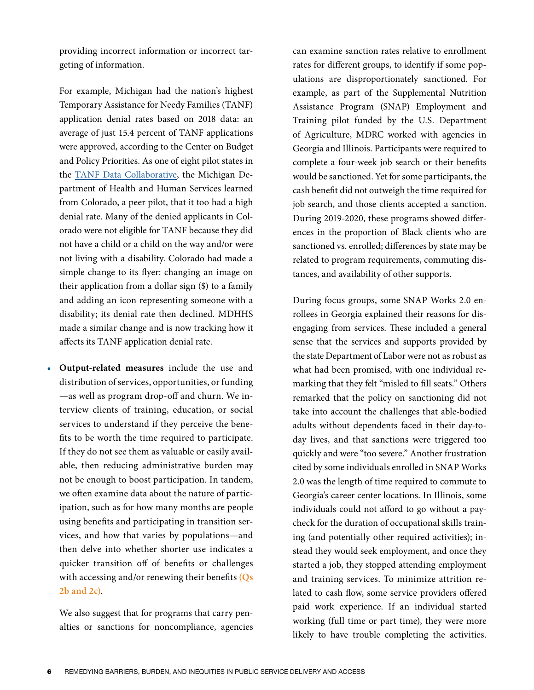providing incorrect information or incorrect targeting of information.

For example, Michigan had the nation's highest Temporary Assistance for Needy Families (TANF) application denial rates based on 2018 data: an average of just 15.4 percent of TANF applications were approved, according to the Center on Budget and Policy Priorities. As one of eight pilot states in the [TANF Data Collaborative,](https://www.tanfdata.org/) the Michigan Department of Health and Human Services learned from Colorado, a peer pilot, that it too had a high denial rate. Many of the denied applicants in Colorado were not eligible for TANF because they did not have a child or a child on the way and/or were not living with a disability. Colorado had made a simple change to its flyer: changing an image on their application from a dollar sign (\$) to a family and adding an icon representing someone with a disability; its denial rate then declined. MDHHS made a similar change and is now tracking how it affects its TANF application denial rate.

**• Output-related measures** include the use and distribution of services, opportunities, or funding —as well as program drop-off and churn. We interview clients of training, education, or social services to understand if they perceive the benefits to be worth the time required to participate. If they do not see them as valuable or easily available, then reducing administrative burden may not be enough to boost participation. In tandem, we often examine data about the nature of participation, such as for how many months are people using benefits and participating in transition services, and how that varies by populations—and then delve into whether shorter use indicates a quicker transition off of benefits or challenges with accessing and/or renewing their benefits **(Qs 2b and 2c)**.

We also suggest that for programs that carry penalties or sanctions for noncompliance, agencies can examine sanction rates relative to enrollment rates for different groups, to identify if some populations are disproportionately sanctioned. For example, as part of the Supplemental Nutrition Assistance Program (SNAP) Employment and Training pilot funded by the U.S. Department of Agriculture, MDRC worked with agencies in Georgia and Illinois. Participants were required to complete a four-week job search or their benefits would be sanctioned. Yet for some participants, the cash benefit did not outweigh the time required for job search, and those clients accepted a sanction. During 2019-2020, these programs showed differences in the proportion of Black clients who are sanctioned vs. enrolled; differences by state may be related to program requirements, commuting distances, and availability of other supports.

During focus groups, some SNAP Works 2.0 enrollees in Georgia explained their reasons for disengaging from services. These included a general sense that the services and supports provided by the state Department of Labor were not as robust as what had been promised, with one individual remarking that they felt "misled to fill seats." Others remarked that the policy on sanctioning did not take into account the challenges that able-bodied adults without dependents faced in their day-today lives, and that sanctions were triggered too quickly and were "too severe." Another frustration cited by some individuals enrolled in SNAP Works 2.0 was the length of time required to commute to Georgia's career center locations. In Illinois, some individuals could not afford to go without a paycheck for the duration of occupational skills training (and potentially other required activities); instead they would seek employment, and once they started a job, they stopped attending employment and training services. To minimize attrition related to cash flow, some service providers offered paid work experience. If an individual started working (full time or part time), they were more likely to have trouble completing the activities.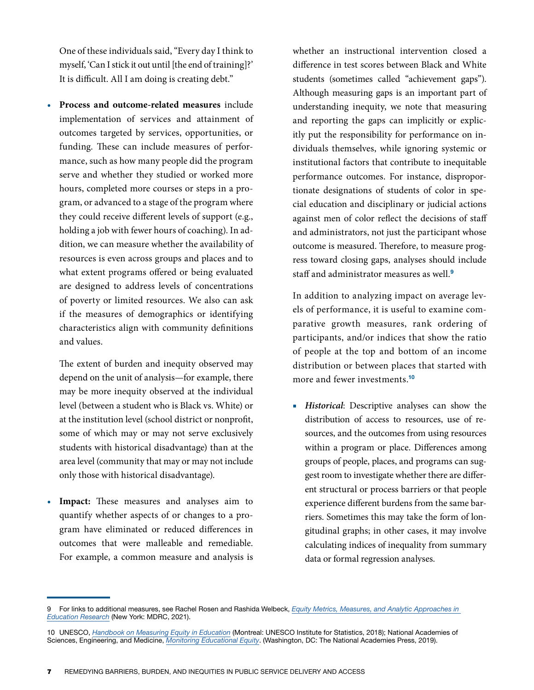One of these individuals said, "Every day I think to myself, 'Can I stick it out until [the end of training]?' It is difficult. All I am doing is creating debt."

**• Process and outcome-related measures** include implementation of services and attainment of outcomes targeted by services, opportunities, or funding. These can include measures of performance, such as how many people did the program serve and whether they studied or worked more hours, completed more courses or steps in a program, or advanced to a stage of the program where they could receive different levels of support (e.g., holding a job with fewer hours of coaching). In addition, we can measure whether the availability of resources is even across groups and places and to what extent programs offered or being evaluated are designed to address levels of concentrations of poverty or limited resources. We also can ask if the measures of demographics or identifying characteristics align with community definitions and values.

The extent of burden and inequity observed may depend on the unit of analysis—for example, there may be more inequity observed at the individual level (between a student who is Black vs. White) or at the institution level (school district or nonprofit, some of which may or may not serve exclusively students with historical disadvantage) than at the area level (community that may or may not include only those with historical disadvantage).

**Impact:** These measures and analyses aim to quantify whether aspects of or changes to a program have eliminated or reduced differences in outcomes that were malleable and remediable. For example, a common measure and analysis is

whether an instructional intervention closed a difference in test scores between Black and White students (sometimes called "achievement gaps"). Although measuring gaps is an important part of understanding inequity, we note that measuring and reporting the gaps can implicitly or explicitly put the responsibility for performance on individuals themselves, while ignoring systemic or institutional factors that contribute to inequitable performance outcomes. For instance, disproportionate designations of students of color in special education and disciplinary or judicial actions against men of color reflect the decisions of staff and administrators, not just the participant whose outcome is measured. Therefore, to measure progress toward closing gaps, analyses should include staff and administrator measures as well.<sup>9</sup>

In addition to analyzing impact on average levels of performance, it is useful to examine comparative growth measures, rank ordering of participants, and/or indices that show the ratio of people at the top and bottom of an income distribution or between places that started with more and fewer investments.<sup>10</sup>

■ *Historical*: Descriptive analyses can show the distribution of access to resources, use of resources, and the outcomes from using resources within a program or place. Differences among groups of people, places, and programs can suggest room to investigate whether there are different structural or process barriers or that people experience different burdens from the same barriers. Sometimes this may take the form of longitudinal graphs; in other cases, it may involve calculating indices of inequality from summary data or formal regression analyses.

<sup>9</sup> For links to additional measures, see Rachel Rosen and Rashida Welbeck, *[Equity Metrics, Measures, and Analytic Approaches in](https://www.mdrc.org/publication/equity-metrics-measures-and-analytic-approaches-education-research)  [Education Research](https://www.mdrc.org/publication/equity-metrics-measures-and-analytic-approaches-education-research)* (New York: MDRC, 2021).

<sup>10</sup> UNESCO, *[Handbook on Measuring Equity in Education](http://uis.unesco.org/sites/default/files/documents/handbook-measuring-equity-education-2018-en.pdf)* (Montreal: UNESCO Institute for Statistics, 2018); National Academies of Sciences, Engineering, and Medicine, *[Monitoring Educational Equity](https://www.nap.edu/catalog/25389/monitoring-educational-equity)*. (Washington, DC: The National Academies Press, 2019).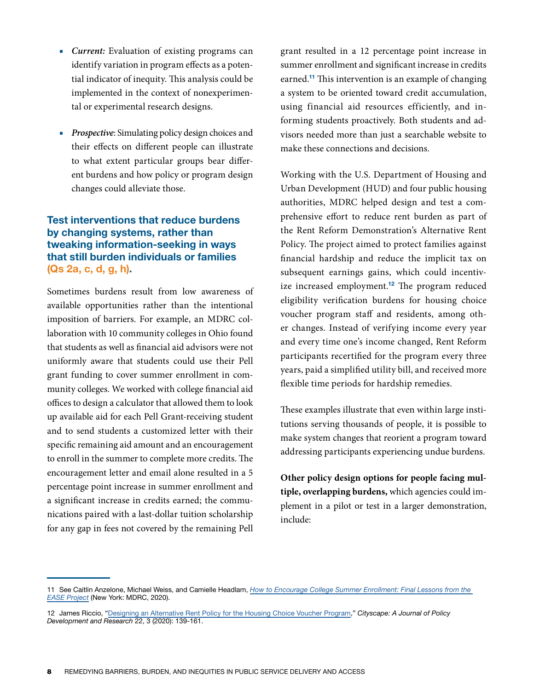- *Current*: Evaluation of existing programs can identify variation in program effects as a potential indicator of inequity. This analysis could be implemented in the context of nonexperimental or experimental research designs.
- **Prospective:** Simulating policy design choices and their effects on different people can illustrate to what extent particular groups bear different burdens and how policy or program design changes could alleviate those.

#### Test interventions that reduce burdens by changing systems, rather than tweaking information-seeking in ways that still burden individuals or families (Qs 2a, c, d, g, h).

Sometimes burdens result from low awareness of available opportunities rather than the intentional imposition of barriers. For example, an MDRC collaboration with 10 community colleges in Ohio found that students as well as financial aid advisors were not uniformly aware that students could use their Pell grant funding to cover summer enrollment in community colleges. We worked with college financial aid offices to design a calculator that allowed them to look up available aid for each Pell Grant-receiving student and to send students a customized letter with their specific remaining aid amount and an encouragement to enroll in the summer to complete more credits. The encouragement letter and email alone resulted in a 5 percentage point increase in summer enrollment and a significant increase in credits earned; the communications paired with a last-dollar tuition scholarship for any gap in fees not covered by the remaining Pell

grant resulted in a 12 percentage point increase in summer enrollment and significant increase in credits earned.<sup>11</sup> This intervention is an example of changing a system to be oriented toward credit accumulation, using financial aid resources efficiently, and informing students proactively. Both students and advisors needed more than just a searchable website to make these connections and decisions.

Working with the U.S. Department of Housing and Urban Development (HUD) and four public housing authorities, MDRC helped design and test a comprehensive effort to reduce rent burden as part of the Rent Reform Demonstration's Alternative Rent Policy. The project aimed to protect families against financial hardship and reduce the implicit tax on subsequent earnings gains, which could incentivize increased employment.<sup>12</sup> The program reduced eligibility verification burdens for housing choice voucher program staff and residents, among other changes. Instead of verifying income every year and every time one's income changed, Rent Reform participants recertified for the program every three years, paid a simplified utility bill, and received more flexible time periods for hardship remedies.

These examples illustrate that even within large institutions serving thousands of people, it is possible to make system changes that reorient a program toward addressing participants experiencing undue burdens.

**Other policy design options for people facing multiple, overlapping burdens,** which agencies could implement in a pilot or test in a larger demonstration, include:

<sup>11</sup> See Caitlin Anzelone, Michael Weiss, and Camielle Headlam, *[How to Encourage College Summer Enrollment](https://www.mdrc.org/sites/default/files/EASE_Final_Report.pdf): Final Lessons from the EASE Project* (New York: MDRC, 2020).

<sup>12</sup> James Riccio, "[Designing an Alternative Rent Policy for the Housing Choice Voucher Program](https://www.huduser.gov/portal/periodicals/cityscpe/vol22num3/ch5.pdf)," *Cityscape: A Journal of Policy Development and Research* 22, 3 (2020): 139-161.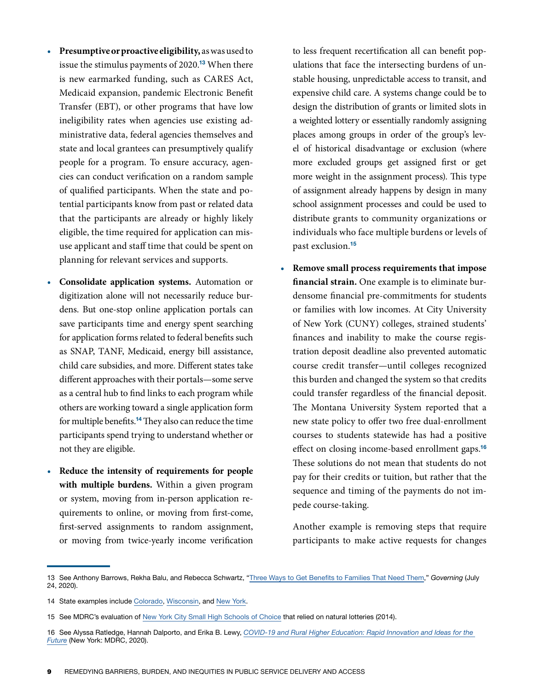- **• Presumptive or proactive eligibility,** as was used to issue the stimulus payments of 2020.<sup>13</sup> When there is new earmarked funding, such as CARES Act, Medicaid expansion, pandemic Electronic Benefit Transfer (EBT), or other programs that have low ineligibility rates when agencies use existing administrative data, federal agencies themselves and state and local grantees can presumptively qualify people for a program. To ensure accuracy, agencies can conduct verification on a random sample of qualified participants. When the state and potential participants know from past or related data that the participants are already or highly likely eligible, the time required for application can misuse applicant and staff time that could be spent on planning for relevant services and supports.
- **• Consolidate application systems.** Automation or digitization alone will not necessarily reduce burdens. But one-stop online application portals can save participants time and energy spent searching for application forms related to federal benefits such as SNAP, TANF, Medicaid, energy bill assistance, child care subsidies, and more. Different states take different approaches with their portals—some serve as a central hub to find links to each program while others are working toward a single application form for multiple benefits.<sup>14</sup> They also can reduce the time participants spend trying to understand whether or not they are eligible.
- **• Reduce the intensity of requirements for people with multiple burdens.** Within a given program or system, moving from in-person application requirements to online, or moving from first-come, first-served assignments to random assignment, or moving from twice-yearly income verification

to less frequent recertification all can benefit populations that face the intersecting burdens of unstable housing, unpredictable access to transit, and expensive child care. A systems change could be to design the distribution of grants or limited slots in a weighted lottery or essentially randomly assigning places among groups in order of the group's level of historical disadvantage or exclusion (where more excluded groups get assigned first or get more weight in the assignment process). This type of assignment already happens by design in many school assignment processes and could be used to distribute grants to community organizations or individuals who face multiple burdens or levels of past exclusion.<sup>15</sup>

**• Remove small process requirements that impose financial strain.** One example is to eliminate burdensome financial pre-commitments for students or families with low incomes. At City University of New York (CUNY) colleges, strained students' finances and inability to make the course registration deposit deadline also prevented automatic course credit transfer—until colleges recognized this burden and changed the system so that credits could transfer regardless of the financial deposit. The Montana University System reported that a new state policy to offer two free dual-enrollment courses to students statewide has had a positive effect on closing income-based enrollment gaps.<sup>16</sup> These solutions do not mean that students do not pay for their credits or tuition, but rather that the sequence and timing of the payments do not impede course-taking.

Another example is removing steps that require participants to make active requests for changes

<sup>13</sup> See Anthony Barrows, Rekha Balu, and Rebecca Schwartz, ["Three Ways to Get Benefits to Families That Need Them](https://www.governing.com/next/3-ways-to-get-benefits-to-the-families-that-need-them.html)," *Governing* (July 24, 2020).

<sup>14</sup> State examples include [Colorado,](https://peak--coloradopeak.force.com/peak/s/peak-landing-page?language=en_US) [Wisconsin,](https://access.wisconsin.gov/access/) and [New York](https://www.mybenefits.ny.gov/mybenefits/begin).

<sup>15</sup> See MDRC's evaluation of [New York City Small High Schools of Choice](https://www.mdrc.org/news/announcement/mdrc%E2%80%99s-study-small-high-schools-nyc-meets-what-works-clearinghouse%E2%80%99s-highest) that relied on natural lotteries (2014).

<sup>16</sup> See Alyssa Ratledge, Hannah Dalporto, and Erika B. Lewy, *[COVID-19 and Rural Higher Education](https://www.mdrc.org/publication/covid-19-and-rural-higher-education): Rapid Innovation and Ideas for the Future* (New York: MDRC, 2020).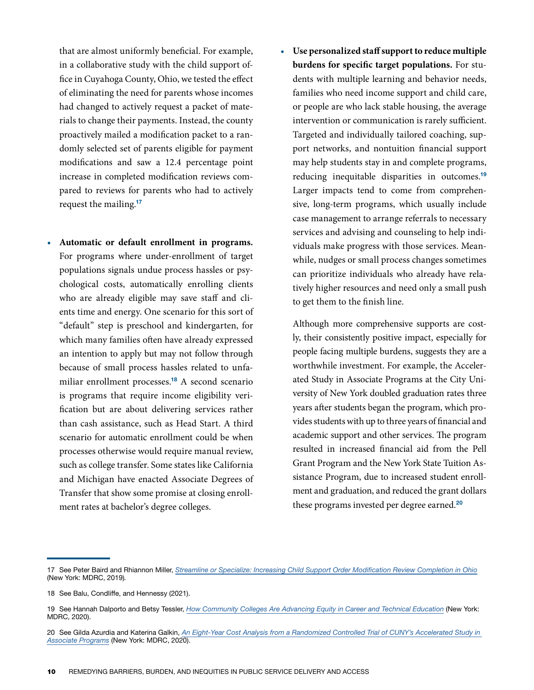that are almost uniformly beneficial. For example, in a collaborative study with the child support office in Cuyahoga County, Ohio, we tested the effect of eliminating the need for parents whose incomes had changed to actively request a packet of materials to change their payments. Instead, the county proactively mailed a modification packet to a randomly selected set of parents eligible for payment modifications and saw a 12.4 percentage point increase in completed modification reviews compared to reviews for parents who had to actively request the mailing.<sup>17</sup>

- **• Automatic or default enrollment in programs.** For programs where under-enrollment of target populations signals undue process hassles or psychological costs, automatically enrolling clients who are already eligible may save staff and clients time and energy. One scenario for this sort of "default" step is preschool and kindergarten, for which many families often have already expressed an intention to apply but may not follow through because of small process hassles related to unfamiliar enrollment processes.<sup>18</sup> A second scenario is programs that require income eligibility verification but are about delivering services rather than cash assistance, such as Head Start. A third scenario for automatic enrollment could be when processes otherwise would require manual review, such as college transfer. Some states like California and Michigan have enacted Associate Degrees of Transfer that show some promise at closing enrollment rates at bachelor's degree colleges.
- **• Use personalized staff support to reduce multiple burdens for specific target populations.** For students with multiple learning and behavior needs, families who need income support and child care, or people are who lack stable housing, the average intervention or communication is rarely sufficient. Targeted and individually tailored coaching, support networks, and nontuition financial support may help students stay in and complete programs, reducing inequitable disparities in outcomes.<sup>19</sup> Larger impacts tend to come from comprehensive, long-term programs, which usually include case management to arrange referrals to necessary services and advising and counseling to help individuals make progress with those services. Meanwhile, nudges or small process changes sometimes can prioritize individuals who already have relatively higher resources and need only a small push to get them to the finish line.

Although more comprehensive supports are costly, their consistently positive impact, especially for people facing multiple burdens, suggests they are a worthwhile investment. For example, the Accelerated Study in Associate Programs at the City University of New York doubled graduation rates three years after students began the program, which provides students with up to three years of financial and academic support and other services. The program resulted in increased financial aid from the Pell Grant Program and the New York State Tuition Assistance Program, due to increased student enrollment and graduation, and reduced the grant dollars these programs invested per degree earned.<sup>20</sup>

20 See Gilda Azurdia and Katerina Galkin, *[An Eight-Year Cost Analysis from a Randomized Controlled Trial of CUNY's Accelerated Study in](https://www.mdrc.org/publication/eight-year-cost-analysis-randomized-controlled-trial-cuny-s-accelerated-study-associate)  [Associate Programs](https://www.mdrc.org/publication/eight-year-cost-analysis-randomized-controlled-trial-cuny-s-accelerated-study-associate)* (New York: MDRC, 2020).

<sup>17</sup> See Peter Baird and Rhiannon Miller, *[Streamline or Specialize: Increasing Child Support Order Modification Review Completion in Ohio](https://www.mdrc.org/publication/streamline-or-specialize)* (New York: MDRC, 2019)*.*

<sup>18</sup> See Balu, Condliffe, and Hennessy (2021).

<sup>19</sup> See Hannah Dalporto and Betsy Tessler, *[How Community Colleges Are Advancing Equity in Career and Technical Education](https://www.mdrc.org/publication/voices-field)* (New York: MDRC, 2020).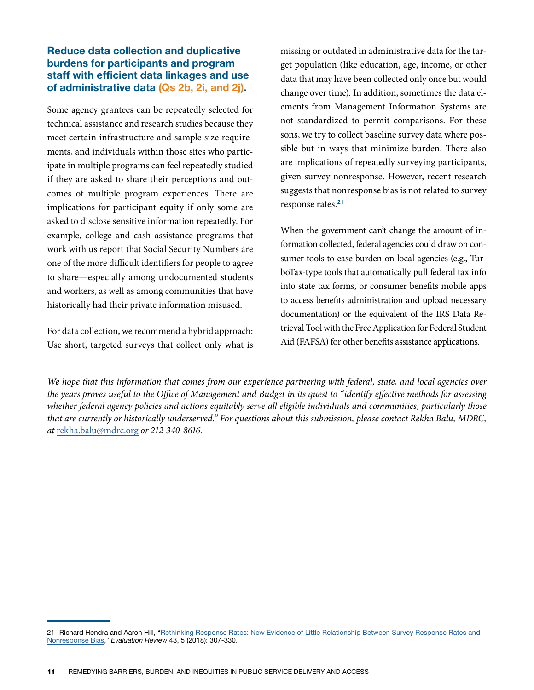### Reduce data collection and duplicative burdens for participants and program staff with efficient data linkages and use of administrative data (Qs 2b, 2i, and 2j).

Some agency grantees can be repeatedly selected for technical assistance and research studies because they meet certain infrastructure and sample size requirements, and individuals within those sites who participate in multiple programs can feel repeatedly studied if they are asked to share their perceptions and outcomes of multiple program experiences. There are implications for participant equity if only some are asked to disclose sensitive information repeatedly. For example, college and cash assistance programs that work with us report that Social Security Numbers are one of the more difficult identifiers for people to agree to share—especially among undocumented students and workers, as well as among communities that have historically had their private information misused.

For data collection, we recommend a hybrid approach: Use short, targeted surveys that collect only what is

missing or outdated in administrative data for the target population (like education, age, income, or other data that may have been collected only once but would change over time). In addition, sometimes the data elements from Management Information Systems are not standardized to permit comparisons. For these sons, we try to collect baseline survey data where possible but in ways that minimize burden. There also are implications of repeatedly surveying participants, given survey nonresponse. However, recent research suggests that nonresponse bias is not related to survey response rates.<sup>21</sup>

When the government can't change the amount of information collected, federal agencies could draw on consumer tools to ease burden on local agencies (e.g., TurboTax-type tools that automatically pull federal tax info into state tax forms, or consumer benefits mobile apps to access benefits administration and upload necessary documentation) or the equivalent of the IRS Data Retrieval Tool with the Free Application for Federal Student Aid (FAFSA) for other benefits assistance applications.

*We hope that this information that comes from our experience partnering with federal, state, and local agencies over the years proves useful to the Office of Management and Budget in its quest to "identify effective methods for assessing whether federal agency policies and actions equitably serve all eligible individuals and communities, particularly those that are currently or historically underserved." For questions about this submission, please contact Rekha Balu, MDRC, at* [rekha.balu@mdrc.org](mailto:rekha.balu@mdrc.org) *or 212-340-8616.*

<sup>21</sup> Richard Hendra and Aaron Hill, "Rethinking Response Rates: New Evidence of Little Relationship Between Survey Response Rates and [Nonresponse Bias](https://journals.sagepub.com/toc/erx/43/5)," *Evaluation Review* 43, 5 (2018): 307-330.